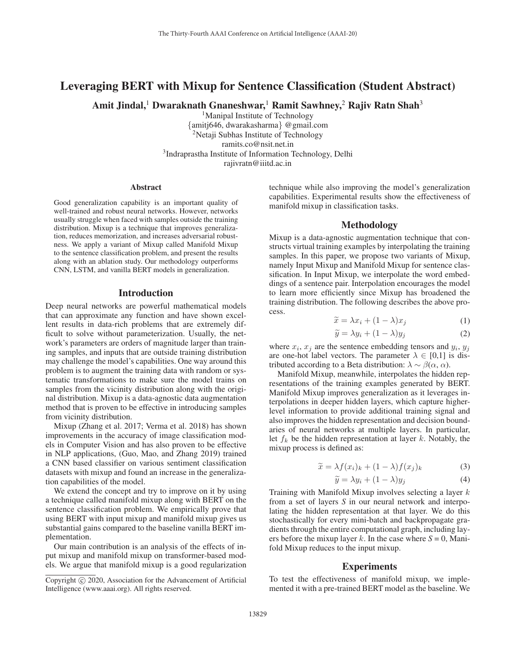# Leveraging BERT with Mixup for Sentence Classification (Student Abstract)

Amit Jindal,<sup>1</sup> Dwaraknath Gnaneshwar,<sup>1</sup> Ramit Sawhney,<sup>2</sup> Rajiv Ratn Shah<sup>3</sup>

<sup>1</sup>Manipal Institute of Technology {amitj646, dwarakasharma} @gmail.com <sup>2</sup>Netaji Subhas Institute of Technology ramits.co@nsit.net.in 3Indraprastha Institute of Information Technology, Delhi rajivratn@iiitd.ac.in

#### **Abstract**

Good generalization capability is an important quality of well-trained and robust neural networks. However, networks usually struggle when faced with samples outside the training distribution. Mixup is a technique that improves generalization, reduces memorization, and increases adversarial robustness. We apply a variant of Mixup called Manifold Mixup to the sentence classification problem, and present the results along with an ablation study. Our methodology outperforms CNN, LSTM, and vanilla BERT models in generalization.

### Introduction

Deep neural networks are powerful mathematical models that can approximate any function and have shown excellent results in data-rich problems that are extremely difficult to solve without parameterization. Usually, the network's parameters are orders of magnitude larger than training samples, and inputs that are outside training distribution may challenge the model's capabilities. One way around this problem is to augment the training data with random or systematic transformations to make sure the model trains on samples from the vicinity distribution along with the original distribution. Mixup is a data-agnostic data augmentation method that is proven to be effective in introducing samples from vicinity distribution.

Mixup (Zhang et al. 2017; Verma et al. 2018) has shown improvements in the accuracy of image classification models in Computer Vision and has also proven to be effective in NLP applications, (Guo, Mao, and Zhang 2019) trained a CNN based classifier on various sentiment classification datasets with mixup and found an increase in the generalization capabilities of the model.

We extend the concept and try to improve on it by using a technique called manifold mixup along with BERT on the sentence classification problem. We empirically prove that using BERT with input mixup and manifold mixup gives us substantial gains compared to the baseline vanilla BERT implementation.

Our main contribution is an analysis of the effects of input mixup and manifold mixup on transformer-based models. We argue that manifold mixup is a good regularization technique while also improving the model's generalization capabilities. Experimental results show the effectiveness of manifold mixup in classification tasks.

#### Methodology

Mixup is a data-agnostic augmentation technique that constructs virtual training examples by interpolating the training samples. In this paper, we propose two variants of Mixup, namely Input Mixup and Manifold Mixup for sentence classification. In Input Mixup, we interpolate the word embeddings of a sentence pair. Interpolation encourages the model to learn more efficiently since Mixup has broadened the training distribution. The following describes the above process.  $\begin{bmatrix} \mathbf{N} & \mathbf{p} \\ \mathbf{p} & \mathbf{p} \\ \mathbf{n} & \mathbf{p} \\ \mathbf{p} & \mathbf{p} \end{bmatrix}$  $\vec{p}$ :ie $\vec{x}$ 

$$
\widetilde{x} = \lambda x_i + (1 - \lambda)x_j \tag{1}
$$

$$
\widetilde{y} = \lambda y_i + (1 - \lambda)y_j \tag{2}
$$

where  $x_i$ ,  $x_j$  are the sentence embedding tensors and  $y_i$ ,  $y_j$ are one-hot label vectors. The parameter  $\lambda \in [0,1]$  is distributed according to a Beta distribution:  $\lambda \sim \beta(\alpha, \alpha)$ .

Manifold Mixup, meanwhile, interpolates the hidden representations of the training examples generated by BERT. Manifold Mixup improves generalization as it leverages interpolations in deeper hidden layers, which capture higherlevel information to provide additional training signal and also improves the hidden representation and decision boundaries of neural networks at multiple layers. In particular, let  $f_k$  be the hidden representation at layer k. Notably, the mixup process is defined as: th 1 is  $\tilde{x}$   $\tilde{x}$ where  $\lambda$  is  $\widetilde{y}$ 

$$
\widetilde{x} = \lambda f(x_i)_k + (1 - \lambda)f(x_j)_k \tag{3}
$$

$$
\widetilde{y} = \lambda y_i + (1 - \lambda)y_j \tag{4}
$$

Training with Manifold Mixup involves selecting a layer k from a set of layers *S* in our neural network and interpolating the hidden representation at that layer. We do this stochastically for every mini-batch and backpropagate gradients through the entire computational graph, including layers before the mixup layer k. In the case where  $S = 0$ , Manifold Mixup reduces to the input mixup.

#### **Experiments**

To test the effectiveness of manifold mixup, we implemented it with a pre-trained BERT model as the baseline. We

Copyright  $\odot$  2020, Association for the Advancement of Artificial Intelligence (www.aaai.org). All rights reserved.